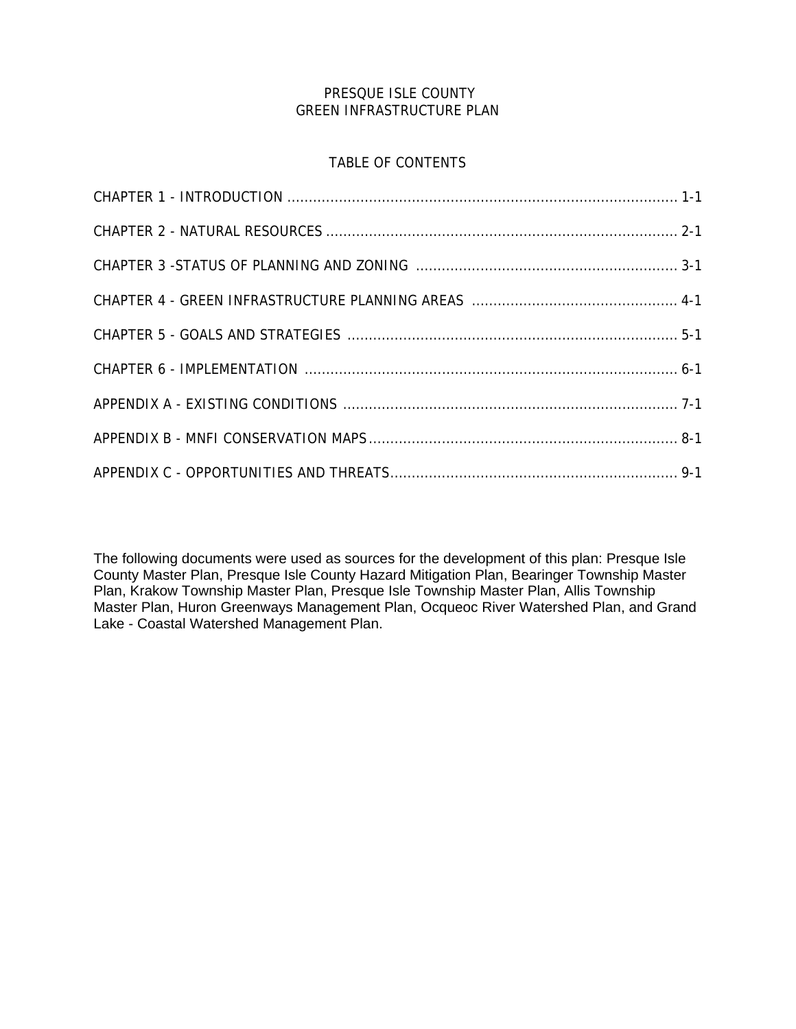## PRESQUE ISLE COUNTY GREEN INFRASTRUCTURE PLAN

## TABLE OF CONTENTS

The following documents were used as sources for the development of this plan: Presque Isle County Master Plan, Presque Isle County Hazard Mitigation Plan, Bearinger Township Master Plan, Krakow Township Master Plan, Presque Isle Township Master Plan, Allis Township Master Plan, Huron Greenways Management Plan, Ocqueoc River Watershed Plan, and Grand Lake - Coastal Watershed Management Plan.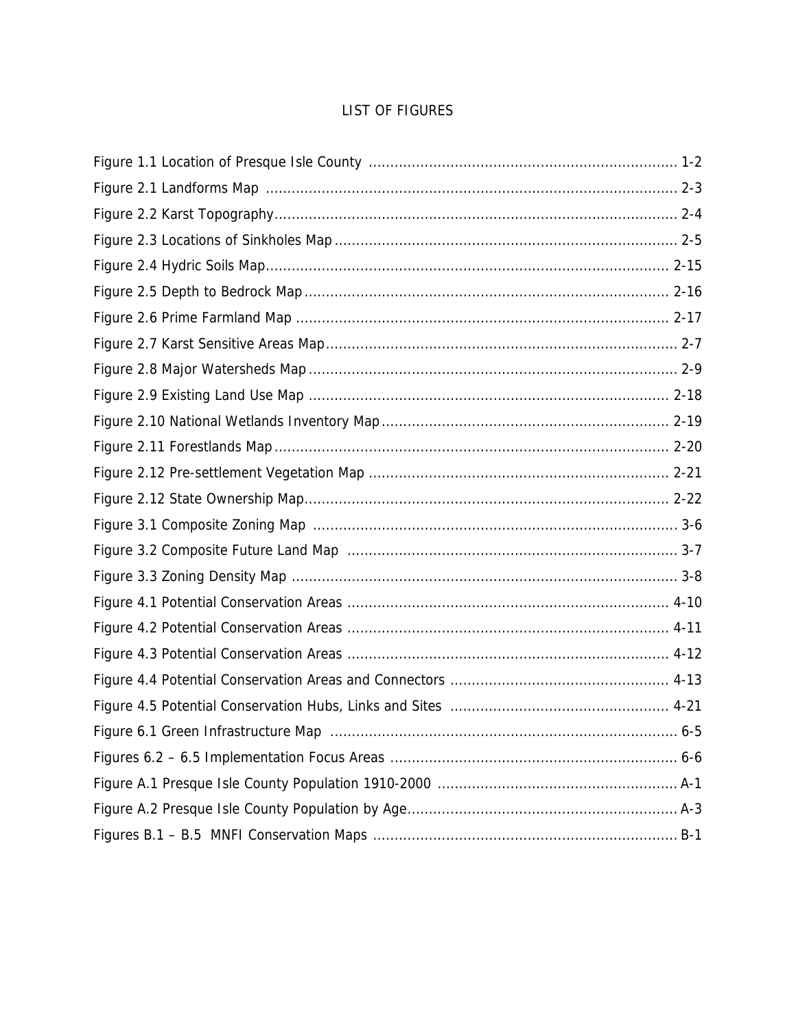## LIST OF FIGURES